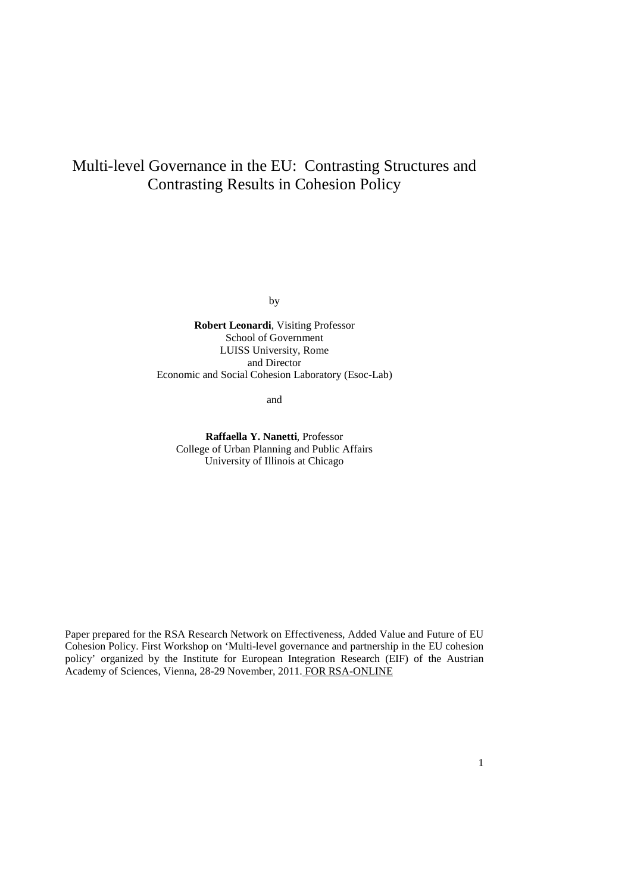# Multi-level Governance in the EU: Contrasting Structures and Contrasting Results in Cohesion Policy

by

**Robert Leonardi**, Visiting Professor School of Government LUISS University, Rome and Director Economic and Social Cohesion Laboratory (Esoc-Lab)

and

**Raffaella Y. Nanetti**, Professor College of Urban Planning and Public Affairs University of Illinois at Chicago

Paper prepared for the RSA Research Network on Effectiveness, Added Value and Future of EU Cohesion Policy. First Workshop on 'Multi-level governance and partnership in the EU cohesion policy' organized by the Institute for European Integration Research (EIF) of the Austrian Academy of Sciences, Vienna, 28-29 November, 2011. FOR RSA-ONLINE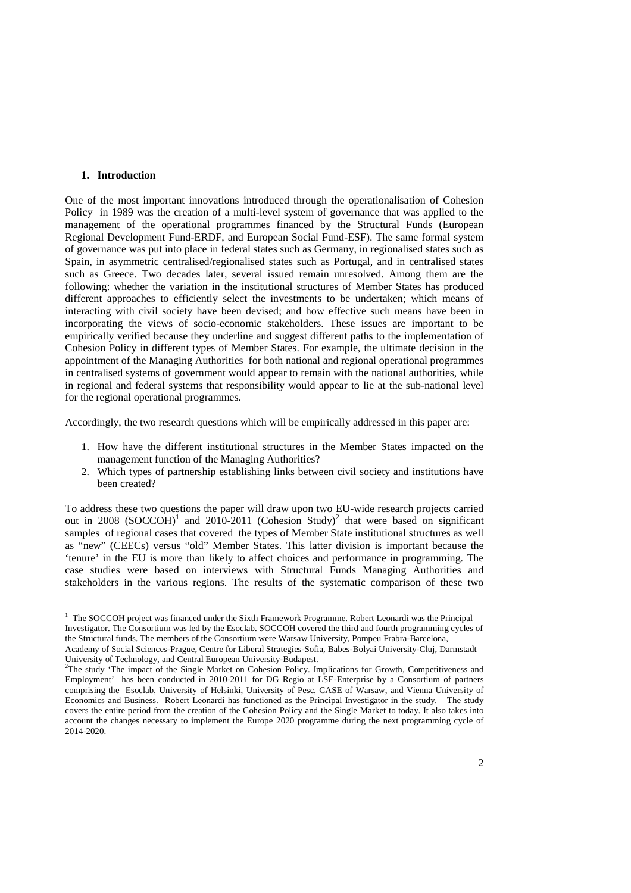#### **1. Introduction**

One of the most important innovations introduced through the operationalisation of Cohesion Policy in 1989 was the creation of a multi-level system of governance that was applied to the management of the operational programmes financed by the Structural Funds (European Regional Development Fund-ERDF, and European Social Fund-ESF). The same formal system of governance was put into place in federal states such as Germany, in regionalised states such as Spain, in asymmetric centralised/regionalised states such as Portugal, and in centralised states such as Greece. Two decades later, several issued remain unresolved. Among them are the following: whether the variation in the institutional structures of Member States has produced different approaches to efficiently select the investments to be undertaken; which means of interacting with civil society have been devised; and how effective such means have been in incorporating the views of socio-economic stakeholders. These issues are important to be empirically verified because they underline and suggest different paths to the implementation of Cohesion Policy in different types of Member States. For example, the ultimate decision in the appointment of the Managing Authorities for both national and regional operational programmes in centralised systems of government would appear to remain with the national authorities, while in regional and federal systems that responsibility would appear to lie at the sub-national level for the regional operational programmes.

Accordingly, the two research questions which will be empirically addressed in this paper are:

- 1. How have the different institutional structures in the Member States impacted on the management function of the Managing Authorities?
- 2. Which types of partnership establishing links between civil society and institutions have been created?

To address these two questions the paper will draw upon two EU-wide research projects carried out in 2008 (SOCCOH)<sup>1</sup> and 2010-2011 (Cohesion Study)<sup>2</sup> that were based on significant samples of regional cases that covered the types of Member State institutional structures as well as "new" (CEECs) versus "old" Member States. This latter division is important because the 'tenure' in the EU is more than likely to affect choices and performance in programming. The case studies were based on interviews with Structural Funds Managing Authorities and stakeholders in the various regions. The results of the systematic comparison of these two

The SOCCOH project was financed under the Sixth Framework Programme. Robert Leonardi was the Principal Investigator. The Consortium was led by the Esoclab. SOCCOH covered the third and fourth programming cycles of the Structural funds. The members of the Consortium were Warsaw University, Pompeu Frabra-Barcelona,

Academy of Social Sciences-Prague, Centre for Liberal Strategies-Sofia, Babes-Bolyai University-Cluj, Darmstadt University of Technology, and Central European University-Budapest.

<sup>&</sup>lt;sup>2</sup>The study 'The impact of the Single Market on Cohesion Policy. Implications for Growth, Competitiveness and Employment' has been conducted in 2010-2011 for DG Regio at LSE-Enterprise by a Consortium of partners comprising the Esoclab, University of Helsinki, University of Pesc, CASE of Warsaw, and Vienna University of Economics and Business. Robert Leonardi has functioned as the Principal Investigator in the study. The study covers the entire period from the creation of the Cohesion Policy and the Single Market to today. It also takes into account the changes necessary to implement the Europe 2020 programme during the next programming cycle of 2014-2020.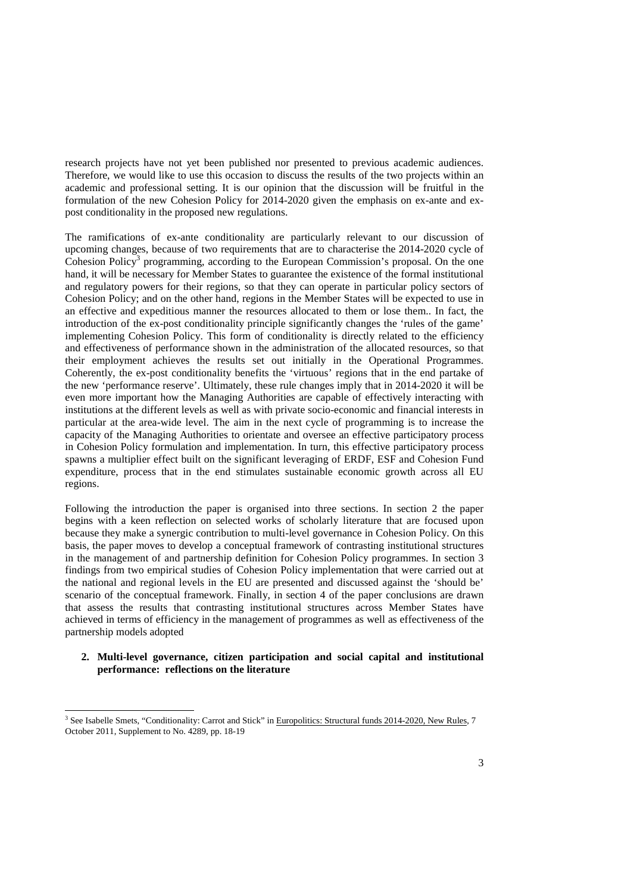research projects have not yet been published nor presented to previous academic audiences. Therefore, we would like to use this occasion to discuss the results of the two projects within an academic and professional setting. It is our opinion that the discussion will be fruitful in the formulation of the new Cohesion Policy for 2014-2020 given the emphasis on ex-ante and expost conditionality in the proposed new regulations.

The ramifications of ex-ante conditionality are particularly relevant to our discussion of upcoming changes, because of two requirements that are to characterise the 2014-2020 cycle of Cohesion Policy<sup>3</sup> programming, according to the European Commission's proposal. On the one hand, it will be necessary for Member States to guarantee the existence of the formal institutional and regulatory powers for their regions, so that they can operate in particular policy sectors of Cohesion Policy; and on the other hand, regions in the Member States will be expected to use in an effective and expeditious manner the resources allocated to them or lose them.. In fact, the introduction of the ex-post conditionality principle significantly changes the 'rules of the game' implementing Cohesion Policy. This form of conditionality is directly related to the efficiency and effectiveness of performance shown in the administration of the allocated resources, so that their employment achieves the results set out initially in the Operational Programmes. Coherently, the ex-post conditionality benefits the 'virtuous' regions that in the end partake of the new 'performance reserve'. Ultimately, these rule changes imply that in 2014-2020 it will be even more important how the Managing Authorities are capable of effectively interacting with institutions at the different levels as well as with private socio-economic and financial interests in particular at the area-wide level. The aim in the next cycle of programming is to increase the capacity of the Managing Authorities to orientate and oversee an effective participatory process in Cohesion Policy formulation and implementation. In turn, this effective participatory process spawns a multiplier effect built on the significant leveraging of ERDF, ESF and Cohesion Fund expenditure, process that in the end stimulates sustainable economic growth across all EU regions.

Following the introduction the paper is organised into three sections. In section 2 the paper begins with a keen reflection on selected works of scholarly literature that are focused upon because they make a synergic contribution to multi-level governance in Cohesion Policy. On this basis, the paper moves to develop a conceptual framework of contrasting institutional structures in the management of and partnership definition for Cohesion Policy programmes. In section 3 findings from two empirical studies of Cohesion Policy implementation that were carried out at the national and regional levels in the EU are presented and discussed against the 'should be' scenario of the conceptual framework. Finally, in section 4 of the paper conclusions are drawn that assess the results that contrasting institutional structures across Member States have achieved in terms of efficiency in the management of programmes as well as effectiveness of the partnership models adopted

## **2. Multi-level governance, citizen participation and social capital and institutional performance: reflections on the literature**

 3 See Isabelle Smets, "Conditionality: Carrot and Stick" in Europolitics: Structural funds 2014-2020, New Rules, 7 October 2011, Supplement to No. 4289, pp. 18-19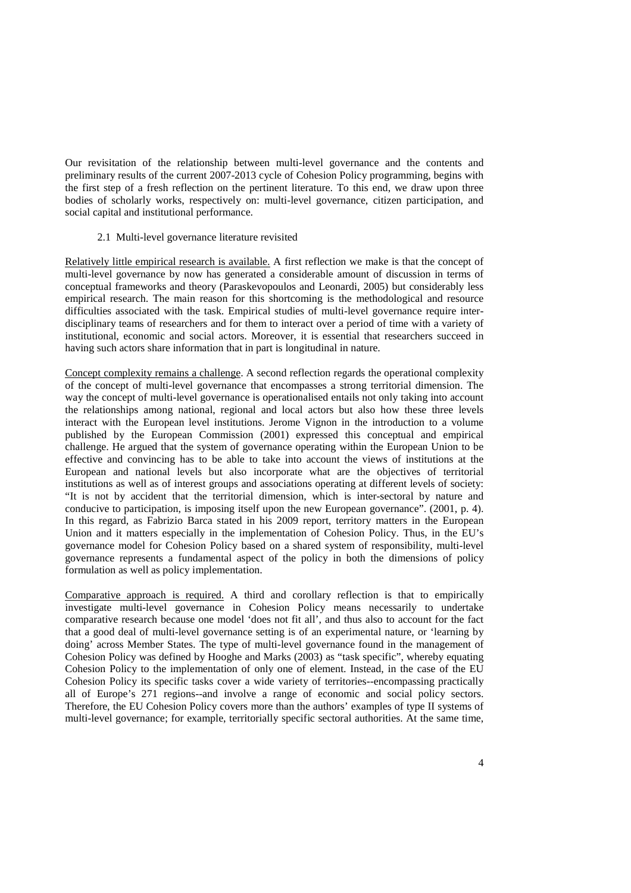Our revisitation of the relationship between multi-level governance and the contents and preliminary results of the current 2007-2013 cycle of Cohesion Policy programming, begins with the first step of a fresh reflection on the pertinent literature. To this end, we draw upon three bodies of scholarly works, respectively on: multi-level governance, citizen participation, and social capital and institutional performance.

2.1 Multi-level governance literature revisited

Relatively little empirical research is available. A first reflection we make is that the concept of multi-level governance by now has generated a considerable amount of discussion in terms of conceptual frameworks and theory (Paraskevopoulos and Leonardi, 2005) but considerably less empirical research. The main reason for this shortcoming is the methodological and resource difficulties associated with the task. Empirical studies of multi-level governance require interdisciplinary teams of researchers and for them to interact over a period of time with a variety of institutional, economic and social actors. Moreover, it is essential that researchers succeed in having such actors share information that in part is longitudinal in nature.

Concept complexity remains a challenge. A second reflection regards the operational complexity of the concept of multi-level governance that encompasses a strong territorial dimension. The way the concept of multi-level governance is operationalised entails not only taking into account the relationships among national, regional and local actors but also how these three levels interact with the European level institutions. Jerome Vignon in the introduction to a volume published by the European Commission (2001) expressed this conceptual and empirical challenge. He argued that the system of governance operating within the European Union to be effective and convincing has to be able to take into account the views of institutions at the European and national levels but also incorporate what are the objectives of territorial institutions as well as of interest groups and associations operating at different levels of society: "It is not by accident that the territorial dimension, which is inter-sectoral by nature and conducive to participation, is imposing itself upon the new European governance". (2001, p. 4). In this regard, as Fabrizio Barca stated in his 2009 report, territory matters in the European Union and it matters especially in the implementation of Cohesion Policy. Thus, in the EU's governance model for Cohesion Policy based on a shared system of responsibility, multi-level governance represents a fundamental aspect of the policy in both the dimensions of policy formulation as well as policy implementation.

Comparative approach is required. A third and corollary reflection is that to empirically investigate multi-level governance in Cohesion Policy means necessarily to undertake comparative research because one model 'does not fit all', and thus also to account for the fact that a good deal of multi-level governance setting is of an experimental nature, or 'learning by doing' across Member States. The type of multi-level governance found in the management of Cohesion Policy was defined by Hooghe and Marks (2003) as "task specific", whereby equating Cohesion Policy to the implementation of only one of element. Instead, in the case of the EU Cohesion Policy its specific tasks cover a wide variety of territories--encompassing practically all of Europe's 271 regions--and involve a range of economic and social policy sectors. Therefore, the EU Cohesion Policy covers more than the authors' examples of type II systems of multi-level governance; for example, territorially specific sectoral authorities. At the same time,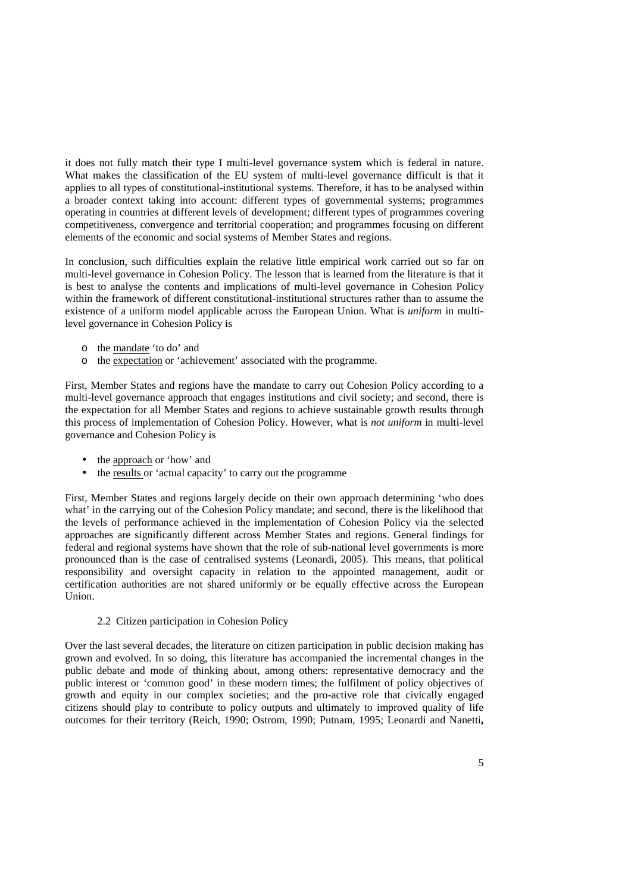it does not fully match their type I multi-level governance system which is federal in nature. What makes the classification of the EU system of multi-level governance difficult is that it applies to all types of constitutional-institutional systems. Therefore, it has to be analysed within a broader context taking into account: different types of governmental systems; programmes operating in countries at different levels of development; different types of programmes covering competitiveness, convergence and territorial cooperation; and programmes focusing on different elements of the economic and social systems of Member States and regions.

In conclusion, such difficulties explain the relative little empirical work carried out so far on multi-level governance in Cohesion Policy. The lesson that is learned from the literature is that it is best to analyse the contents and implications of multi-level governance in Cohesion Policy within the framework of different constitutional-institutional structures rather than to assume the existence of a uniform model applicable across the European Union. What is *uniform* in multilevel governance in Cohesion Policy is

- o the mandate 'to do' and
- o the expectation or 'achievement' associated with the programme.

First, Member States and regions have the mandate to carry out Cohesion Policy according to a multi-level governance approach that engages institutions and civil society; and second, there is the expectation for all Member States and regions to achieve sustainable growth results through this process of implementation of Cohesion Policy. However, what is *not uniform* in multi-level governance and Cohesion Policy is

- the approach or 'how' and
- the results or 'actual capacity' to carry out the programme

First, Member States and regions largely decide on their own approach determining 'who does what' in the carrying out of the Cohesion Policy mandate; and second, there is the likelihood that the levels of performance achieved in the implementation of Cohesion Policy via the selected approaches are significantly different across Member States and regions. General findings for federal and regional systems have shown that the role of sub-national level governments is more pronounced than is the case of centralised systems (Leonardi, 2005). This means, that political responsibility and oversight capacity in relation to the appointed management, audit or certification authorities are not shared uniformly or be equally effective across the European Union.

2.2 Citizen participation in Cohesion Policy

Over the last several decades, the literature on citizen participation in public decision making has grown and evolved. In so doing, this literature has accompanied the incremental changes in the public debate and mode of thinking about, among others: representative democracy and the public interest or 'common good' in these modern times; the fulfilment of policy objectives of growth and equity in our complex societies; and the pro-active role that civically engaged citizens should play to contribute to policy outputs and ultimately to improved quality of life outcomes for their territory (Reich, 1990; Ostrom, 1990; Putnam, 1995; Leonardi and Nanetti**,**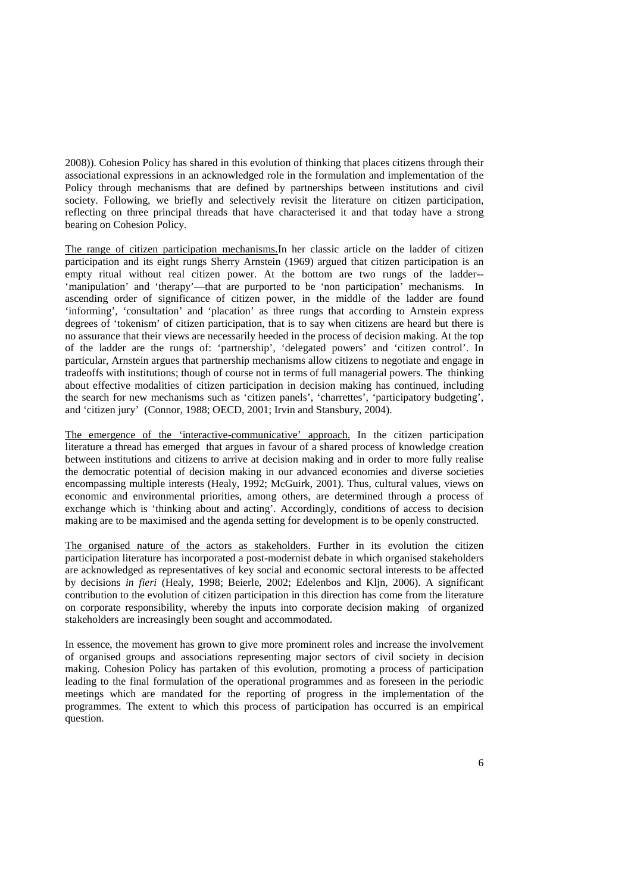2008)). Cohesion Policy has shared in this evolution of thinking that places citizens through their associational expressions in an acknowledged role in the formulation and implementation of the Policy through mechanisms that are defined by partnerships between institutions and civil society. Following, we briefly and selectively revisit the literature on citizen participation, reflecting on three principal threads that have characterised it and that today have a strong bearing on Cohesion Policy.

The range of citizen participation mechanisms.In her classic article on the ladder of citizen participation and its eight rungs Sherry Arnstein (1969) argued that citizen participation is an empty ritual without real citizen power. At the bottom are two rungs of the ladder-- 'manipulation' and 'therapy'—that are purported to be 'non participation' mechanisms. In ascending order of significance of citizen power, in the middle of the ladder are found 'informing', 'consultation' and 'placation' as three rungs that according to Arnstein express degrees of 'tokenism' of citizen participation, that is to say when citizens are heard but there is no assurance that their views are necessarily heeded in the process of decision making. At the top of the ladder are the rungs of: 'partnership', 'delegated powers' and 'citizen control'. In particular, Arnstein argues that partnership mechanisms allow citizens to negotiate and engage in tradeoffs with institutions; though of course not in terms of full managerial powers. The thinking about effective modalities of citizen participation in decision making has continued, including the search for new mechanisms such as 'citizen panels', 'charrettes', 'participatory budgeting', and 'citizen jury' (Connor, 1988; OECD, 2001; Irvin and Stansbury, 2004).

The emergence of the 'interactive-communicative' approach. In the citizen participation literature a thread has emerged that argues in favour of a shared process of knowledge creation between institutions and citizens to arrive at decision making and in order to more fully realise the democratic potential of decision making in our advanced economies and diverse societies encompassing multiple interests (Healy, 1992; McGuirk, 2001). Thus, cultural values, views on economic and environmental priorities, among others, are determined through a process of exchange which is 'thinking about and acting'. Accordingly, conditions of access to decision making are to be maximised and the agenda setting for development is to be openly constructed.

The organised nature of the actors as stakeholders. Further in its evolution the citizen participation literature has incorporated a post-modernist debate in which organised stakeholders are acknowledged as representatives of key social and economic sectoral interests to be affected by decisions *in fieri* (Healy, 1998; Beierle, 2002; Edelenbos and Kljn, 2006). A significant contribution to the evolution of citizen participation in this direction has come from the literature on corporate responsibility, whereby the inputs into corporate decision making of organized stakeholders are increasingly been sought and accommodated.

In essence, the movement has grown to give more prominent roles and increase the involvement of organised groups and associations representing major sectors of civil society in decision making. Cohesion Policy has partaken of this evolution, promoting a process of participation leading to the final formulation of the operational programmes and as foreseen in the periodic meetings which are mandated for the reporting of progress in the implementation of the programmes. The extent to which this process of participation has occurred is an empirical question.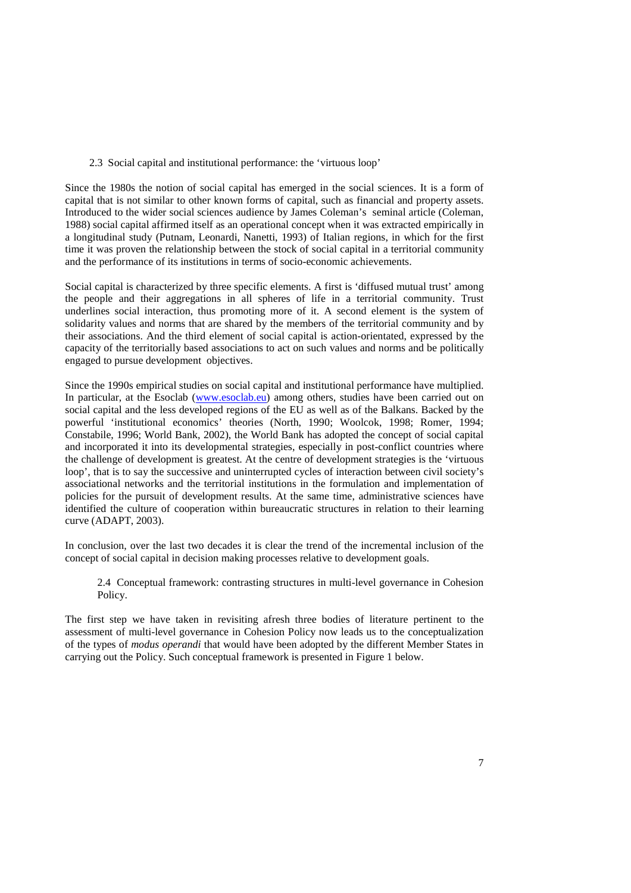#### 2.3 Social capital and institutional performance: the 'virtuous loop'

Since the 1980s the notion of social capital has emerged in the social sciences. It is a form of capital that is not similar to other known forms of capital, such as financial and property assets. Introduced to the wider social sciences audience by James Coleman's seminal article (Coleman, 1988) social capital affirmed itself as an operational concept when it was extracted empirically in a longitudinal study (Putnam, Leonardi, Nanetti, 1993) of Italian regions, in which for the first time it was proven the relationship between the stock of social capital in a territorial community and the performance of its institutions in terms of socio-economic achievements.

Social capital is characterized by three specific elements. A first is 'diffused mutual trust' among the people and their aggregations in all spheres of life in a territorial community. Trust underlines social interaction, thus promoting more of it. A second element is the system of solidarity values and norms that are shared by the members of the territorial community and by their associations. And the third element of social capital is action-orientated, expressed by the capacity of the territorially based associations to act on such values and norms and be politically engaged to pursue development objectives.

Since the 1990s empirical studies on social capital and institutional performance have multiplied. In particular, at the Esoclab (www.esoclab.eu) among others, studies have been carried out on social capital and the less developed regions of the EU as well as of the Balkans. Backed by the powerful 'institutional economics' theories (North, 1990; Woolcok, 1998; Romer, 1994; Constabile, 1996; World Bank, 2002), the World Bank has adopted the concept of social capital and incorporated it into its developmental strategies, especially in post-conflict countries where the challenge of development is greatest. At the centre of development strategies is the 'virtuous loop', that is to say the successive and uninterrupted cycles of interaction between civil society's associational networks and the territorial institutions in the formulation and implementation of policies for the pursuit of development results. At the same time, administrative sciences have identified the culture of cooperation within bureaucratic structures in relation to their learning curve (ADAPT, 2003).

In conclusion, over the last two decades it is clear the trend of the incremental inclusion of the concept of social capital in decision making processes relative to development goals.

2.4 Conceptual framework: contrasting structures in multi-level governance in Cohesion Policy.

The first step we have taken in revisiting afresh three bodies of literature pertinent to the assessment of multi-level governance in Cohesion Policy now leads us to the conceptualization of the types of *modus operandi* that would have been adopted by the different Member States in carrying out the Policy. Such conceptual framework is presented in Figure 1 below.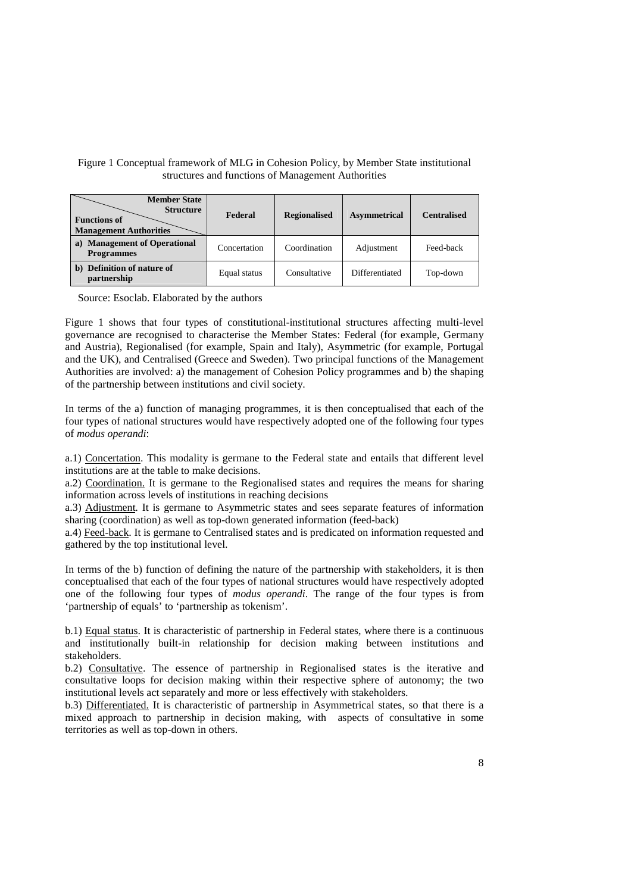# Figure 1 Conceptual framework of MLG in Cohesion Policy, by Member State institutional structures and functions of Management Authorities

| <b>Member State</b><br><b>Structure</b><br><b>Functions of</b><br><b>Management Authorities</b> | Federal      | <b>Regionalised</b> | <b>Asymmetrical</b> | <b>Centralised</b> |
|-------------------------------------------------------------------------------------------------|--------------|---------------------|---------------------|--------------------|
| <b>Management of Operational</b><br>a)<br><b>Programmes</b>                                     | Concertation | Coordination        | Adjustment          | Feed-back          |
| Definition of nature of<br>b)<br>partnership                                                    | Equal status | Consultative        | Differentiated      | Top-down           |

Source: Esoclab. Elaborated by the authors

Figure 1 shows that four types of constitutional-institutional structures affecting multi-level governance are recognised to characterise the Member States: Federal (for example, Germany and Austria), Regionalised (for example, Spain and Italy), Asymmetric (for example, Portugal and the UK), and Centralised (Greece and Sweden). Two principal functions of the Management Authorities are involved: a) the management of Cohesion Policy programmes and b) the shaping of the partnership between institutions and civil society.

In terms of the a) function of managing programmes, it is then conceptualised that each of the four types of national structures would have respectively adopted one of the following four types of *modus operandi*:

a.1) Concertation. This modality is germane to the Federal state and entails that different level institutions are at the table to make decisions.

a.2) Coordination. It is germane to the Regionalised states and requires the means for sharing information across levels of institutions in reaching decisions

a.3) Adjustment. It is germane to Asymmetric states and sees separate features of information sharing (coordination) as well as top-down generated information (feed-back)

a.4) Feed-back. It is germane to Centralised states and is predicated on information requested and gathered by the top institutional level.

In terms of the b) function of defining the nature of the partnership with stakeholders, it is then conceptualised that each of the four types of national structures would have respectively adopted one of the following four types of *modus operandi*. The range of the four types is from 'partnership of equals' to 'partnership as tokenism'.

b.1) Equal status. It is characteristic of partnership in Federal states, where there is a continuous and institutionally built-in relationship for decision making between institutions and stakeholders.

b.2) Consultative. The essence of partnership in Regionalised states is the iterative and consultative loops for decision making within their respective sphere of autonomy; the two institutional levels act separately and more or less effectively with stakeholders.

b.3) Differentiated. It is characteristic of partnership in Asymmetrical states, so that there is a mixed approach to partnership in decision making, with aspects of consultative in some territories as well as top-down in others.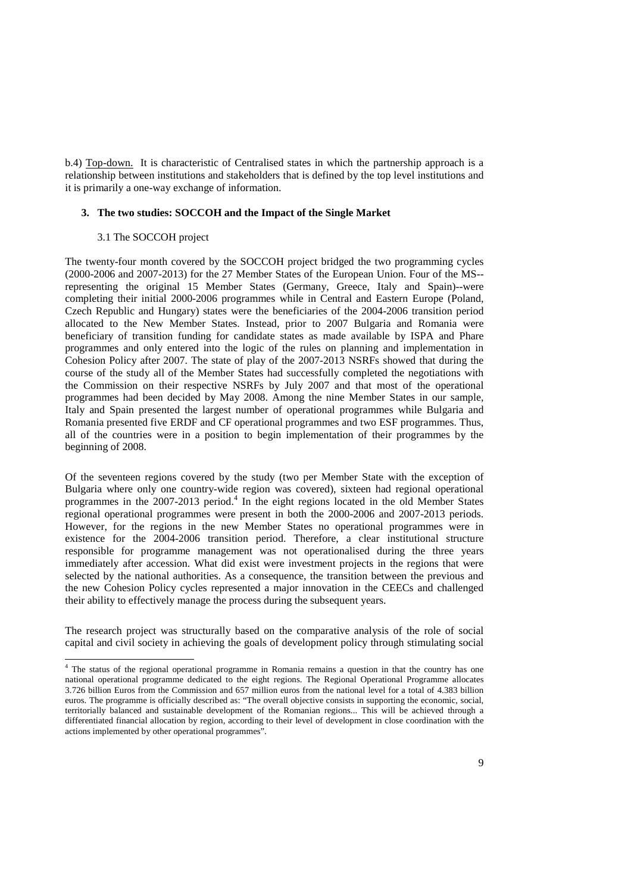b.4) Top-down. It is characteristic of Centralised states in which the partnership approach is a relationship between institutions and stakeholders that is defined by the top level institutions and it is primarily a one-way exchange of information.

## **3. The two studies: SOCCOH and the Impact of the Single Market**

#### 3.1 The SOCCOH project

The twenty-four month covered by the SOCCOH project bridged the two programming cycles (2000-2006 and 2007-2013) for the 27 Member States of the European Union. Four of the MS- representing the original 15 Member States (Germany, Greece, Italy and Spain)--were completing their initial 2000-2006 programmes while in Central and Eastern Europe (Poland, Czech Republic and Hungary) states were the beneficiaries of the 2004-2006 transition period allocated to the New Member States. Instead, prior to 2007 Bulgaria and Romania were beneficiary of transition funding for candidate states as made available by ISPA and Phare programmes and only entered into the logic of the rules on planning and implementation in Cohesion Policy after 2007. The state of play of the 2007-2013 NSRFs showed that during the course of the study all of the Member States had successfully completed the negotiations with the Commission on their respective NSRFs by July 2007 and that most of the operational programmes had been decided by May 2008. Among the nine Member States in our sample, Italy and Spain presented the largest number of operational programmes while Bulgaria and Romania presented five ERDF and CF operational programmes and two ESF programmes. Thus, all of the countries were in a position to begin implementation of their programmes by the beginning of 2008.

Of the seventeen regions covered by the study (two per Member State with the exception of Bulgaria where only one country-wide region was covered), sixteen had regional operational programmes in the 2007-2013 period.<sup>4</sup> In the eight regions located in the old Member States regional operational programmes were present in both the 2000-2006 and 2007-2013 periods. However, for the regions in the new Member States no operational programmes were in existence for the 2004-2006 transition period. Therefore, a clear institutional structure responsible for programme management was not operationalised during the three years immediately after accession. What did exist were investment projects in the regions that were selected by the national authorities. As a consequence, the transition between the previous and the new Cohesion Policy cycles represented a major innovation in the CEECs and challenged their ability to effectively manage the process during the subsequent years.

The research project was structurally based on the comparative analysis of the role of social capital and civil society in achieving the goals of development policy through stimulating social

The status of the regional operational programme in Romania remains a question in that the country has one national operational programme dedicated to the eight regions. The Regional Operational Programme allocates 3.726 billion Euros from the Commission and 657 million euros from the national level for a total of 4.383 billion euros. The programme is officially described as: "The overall objective consists in supporting the economic, social, territorially balanced and sustainable development of the Romanian regions... This will be achieved through a differentiated financial allocation by region, according to their level of development in close coordination with the actions implemented by other operational programmes".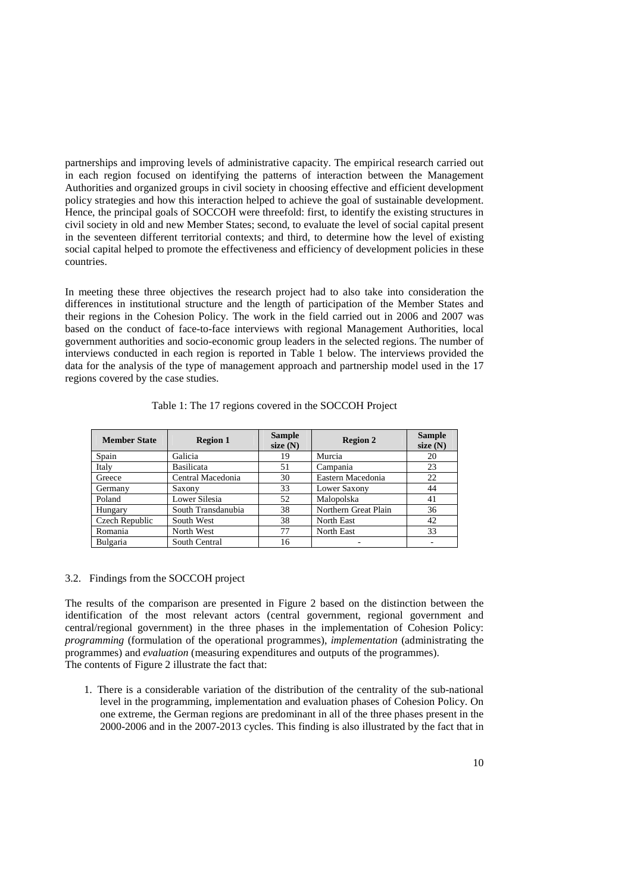partnerships and improving levels of administrative capacity. The empirical research carried out in each region focused on identifying the patterns of interaction between the Management Authorities and organized groups in civil society in choosing effective and efficient development policy strategies and how this interaction helped to achieve the goal of sustainable development. Hence, the principal goals of SOCCOH were threefold: first, to identify the existing structures in civil society in old and new Member States; second, to evaluate the level of social capital present in the seventeen different territorial contexts; and third, to determine how the level of existing social capital helped to promote the effectiveness and efficiency of development policies in these countries.

In meeting these three objectives the research project had to also take into consideration the differences in institutional structure and the length of participation of the Member States and their regions in the Cohesion Policy. The work in the field carried out in 2006 and 2007 was based on the conduct of face-to-face interviews with regional Management Authorities, local government authorities and socio-economic group leaders in the selected regions. The number of interviews conducted in each region is reported in Table 1 below. The interviews provided the data for the analysis of the type of management approach and partnership model used in the 17 regions covered by the case studies.

| <b>Member State</b> | <b>Region 1</b>    | <b>Sample</b><br>size $(N)$ | <b>Region 2</b>      | <b>Sample</b><br>size $(N)$ |
|---------------------|--------------------|-----------------------------|----------------------|-----------------------------|
| Spain               | Galicia            | 19                          | Murcia               | 20                          |
| Italy               | Basilicata         | 51                          | Campania             | 23                          |
| Greece              | Central Macedonia  | 30                          | Eastern Macedonia    | 22                          |
| Germany             | Saxony             | 33                          | Lower Saxony         | 44                          |
| Poland              | Lower Silesia      | 52                          | Malopolska           | 41                          |
| Hungary             | South Transdanubia | 38                          | Northern Great Plain | 36                          |
| Czech Republic      | South West         | 38                          | North East           | 42                          |
| Romania             | North West         | 77                          | North East           | 33                          |
| Bulgaria            | South Central      | 16                          |                      |                             |

Table 1: The 17 regions covered in the SOCCOH Project

#### 3.2. Findings from the SOCCOH project

The results of the comparison are presented in Figure 2 based on the distinction between the identification of the most relevant actors (central government, regional government and central/regional government) in the three phases in the implementation of Cohesion Policy: *programming* (formulation of the operational programmes), *implementation* (administrating the programmes) and *evaluation* (measuring expenditures and outputs of the programmes). The contents of Figure 2 illustrate the fact that:

1. There is a considerable variation of the distribution of the centrality of the sub-national level in the programming, implementation and evaluation phases of Cohesion Policy. On one extreme, the German regions are predominant in all of the three phases present in the 2000-2006 and in the 2007-2013 cycles. This finding is also illustrated by the fact that in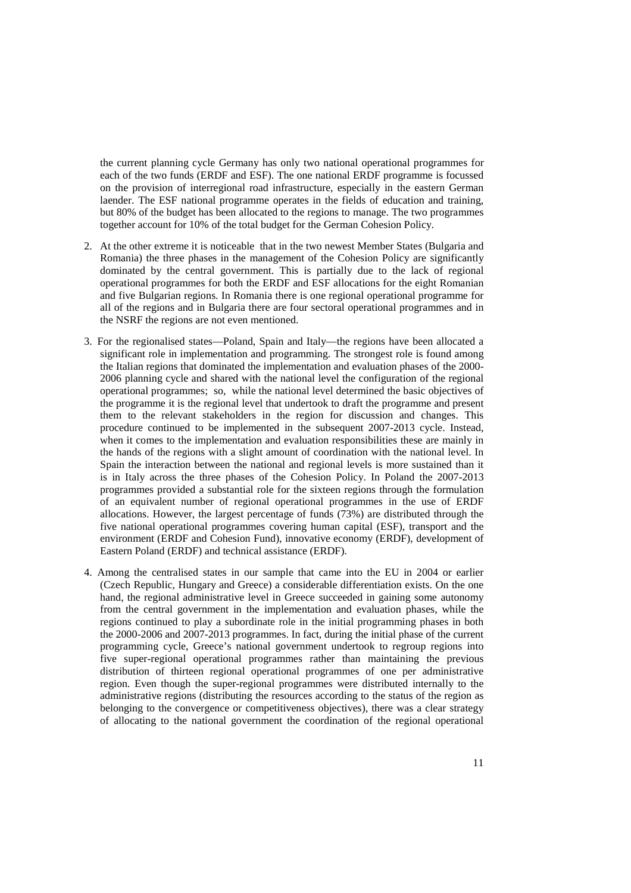the current planning cycle Germany has only two national operational programmes for each of the two funds (ERDF and ESF). The one national ERDF programme is focussed on the provision of interregional road infrastructure, especially in the eastern German laender. The ESF national programme operates in the fields of education and training, but 80% of the budget has been allocated to the regions to manage. The two programmes together account for 10% of the total budget for the German Cohesion Policy.

- 2. At the other extreme it is noticeable that in the two newest Member States (Bulgaria and Romania) the three phases in the management of the Cohesion Policy are significantly dominated by the central government. This is partially due to the lack of regional operational programmes for both the ERDF and ESF allocations for the eight Romanian and five Bulgarian regions. In Romania there is one regional operational programme for all of the regions and in Bulgaria there are four sectoral operational programmes and in the NSRF the regions are not even mentioned.
- 3. For the regionalised states—Poland, Spain and Italy—the regions have been allocated a significant role in implementation and programming. The strongest role is found among the Italian regions that dominated the implementation and evaluation phases of the 2000- 2006 planning cycle and shared with the national level the configuration of the regional operational programmes; so, while the national level determined the basic objectives of the programme it is the regional level that undertook to draft the programme and present them to the relevant stakeholders in the region for discussion and changes. This procedure continued to be implemented in the subsequent 2007-2013 cycle. Instead, when it comes to the implementation and evaluation responsibilities these are mainly in the hands of the regions with a slight amount of coordination with the national level. In Spain the interaction between the national and regional levels is more sustained than it is in Italy across the three phases of the Cohesion Policy. In Poland the 2007-2013 programmes provided a substantial role for the sixteen regions through the formulation of an equivalent number of regional operational programmes in the use of ERDF allocations. However, the largest percentage of funds (73%) are distributed through the five national operational programmes covering human capital (ESF), transport and the environment (ERDF and Cohesion Fund), innovative economy (ERDF), development of Eastern Poland (ERDF) and technical assistance (ERDF).
- 4. Among the centralised states in our sample that came into the EU in 2004 or earlier (Czech Republic, Hungary and Greece) a considerable differentiation exists. On the one hand, the regional administrative level in Greece succeeded in gaining some autonomy from the central government in the implementation and evaluation phases, while the regions continued to play a subordinate role in the initial programming phases in both the 2000-2006 and 2007-2013 programmes. In fact, during the initial phase of the current programming cycle, Greece's national government undertook to regroup regions into five super-regional operational programmes rather than maintaining the previous distribution of thirteen regional operational programmes of one per administrative region. Even though the super-regional programmes were distributed internally to the administrative regions (distributing the resources according to the status of the region as belonging to the convergence or competitiveness objectives), there was a clear strategy of allocating to the national government the coordination of the regional operational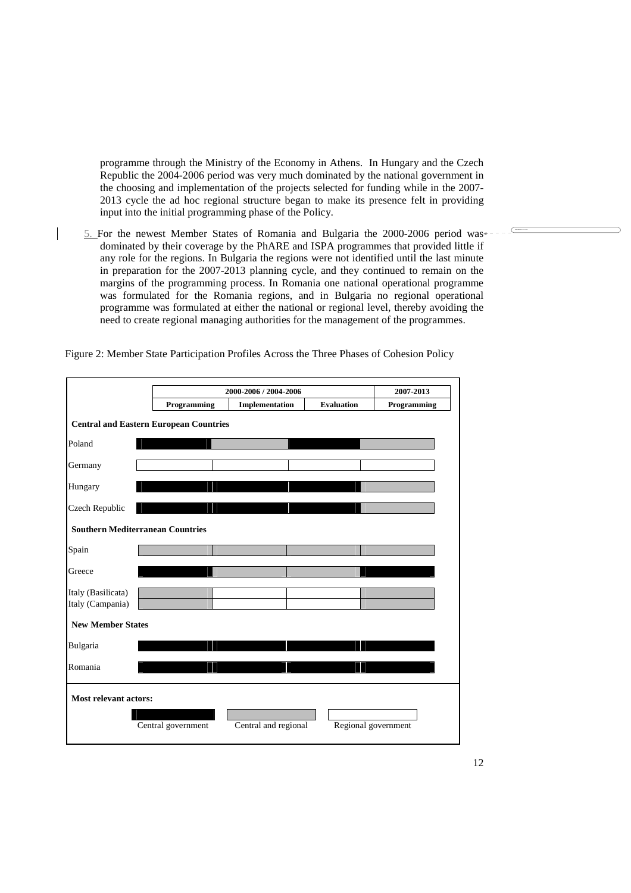programme through the Ministry of the Economy in Athens. In Hungary and the Czech Republic the 2004-2006 period was very much dominated by the national government in the choosing and implementation of the projects selected for funding while in the 2007- 2013 cycle the ad hoc regional structure began to make its presence felt in providing input into the initial programming phase of the Policy.

5. For the newest Member States of Romania and Bulgaria the 2000-2006 period was dominated by their coverage by the PhARE and ISPA programmes that provided little if any role for the regions. In Bulgaria the regions were not identified until the last minute in preparation for the 2007-2013 planning cycle, and they continued to remain on the margins of the programming process. In Romania one national operational programme was formulated for the Romania regions, and in Bulgaria no regional operational programme was formulated at either the national or regional level, thereby avoiding the need to create regional managing authorities for the management of the programmes.

Figure 2: Member State Participation Profiles Across the Three Phases of Cohesion Policy

|                                               |  | 2000-2006 / 2004-2006 | 2007-2013            |                     |             |  |
|-----------------------------------------------|--|-----------------------|----------------------|---------------------|-------------|--|
|                                               |  | Programming           | Implementation       | <b>Evaluation</b>   | Programming |  |
| <b>Central and Eastern European Countries</b> |  |                       |                      |                     |             |  |
| Poland                                        |  |                       |                      |                     |             |  |
| Germany                                       |  |                       |                      |                     |             |  |
| Hungary                                       |  |                       |                      |                     |             |  |
| Czech Republic                                |  |                       |                      |                     |             |  |
| <b>Southern Mediterranean Countries</b>       |  |                       |                      |                     |             |  |
| Spain                                         |  |                       |                      |                     |             |  |
| Greece                                        |  |                       |                      |                     |             |  |
| Italy (Basilicata)<br>Italy (Campania)        |  |                       |                      |                     |             |  |
| <b>New Member States</b>                      |  |                       |                      |                     |             |  |
| Bulgaria                                      |  |                       |                      |                     |             |  |
| Romania                                       |  |                       |                      |                     |             |  |
| Most relevant actors:                         |  |                       |                      |                     |             |  |
|                                               |  | Central government    | Central and regional | Regional government |             |  |

**Mise en forme :** Puces et numéros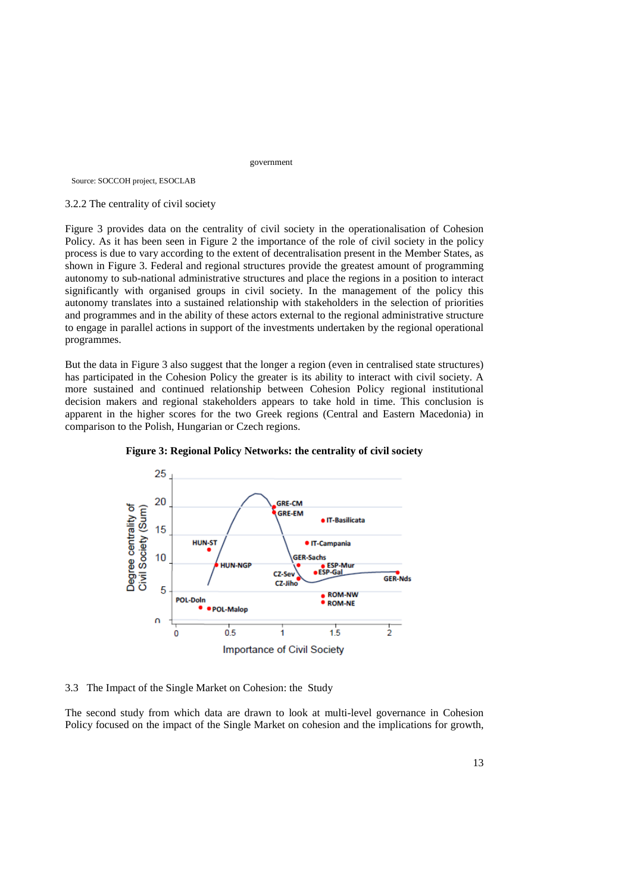government

Source: SOCCOH project, ESOCLAB

#### 3.2.2 The centrality of civil society

Figure 3 provides data on the centrality of civil society in the operationalisation of Cohesion Policy. As it has been seen in Figure 2 the importance of the role of civil society in the policy process is due to vary according to the extent of decentralisation present in the Member States, as shown in Figure 3. Federal and regional structures provide the greatest amount of programming autonomy to sub-national administrative structures and place the regions in a position to interact significantly with organised groups in civil society. In the management of the policy this autonomy translates into a sustained relationship with stakeholders in the selection of priorities and programmes and in the ability of these actors external to the regional administrative structure to engage in parallel actions in support of the investments undertaken by the regional operational programmes.

But the data in Figure 3 also suggest that the longer a region (even in centralised state structures) has participated in the Cohesion Policy the greater is its ability to interact with civil society. A more sustained and continued relationship between Cohesion Policy regional institutional decision makers and regional stakeholders appears to take hold in time. This conclusion is apparent in the higher scores for the two Greek regions (Central and Eastern Macedonia) in comparison to the Polish, Hungarian or Czech regions.





3.3 The Impact of the Single Market on Cohesion: the Study

The second study from which data are drawn to look at multi-level governance in Cohesion Policy focused on the impact of the Single Market on cohesion and the implications for growth,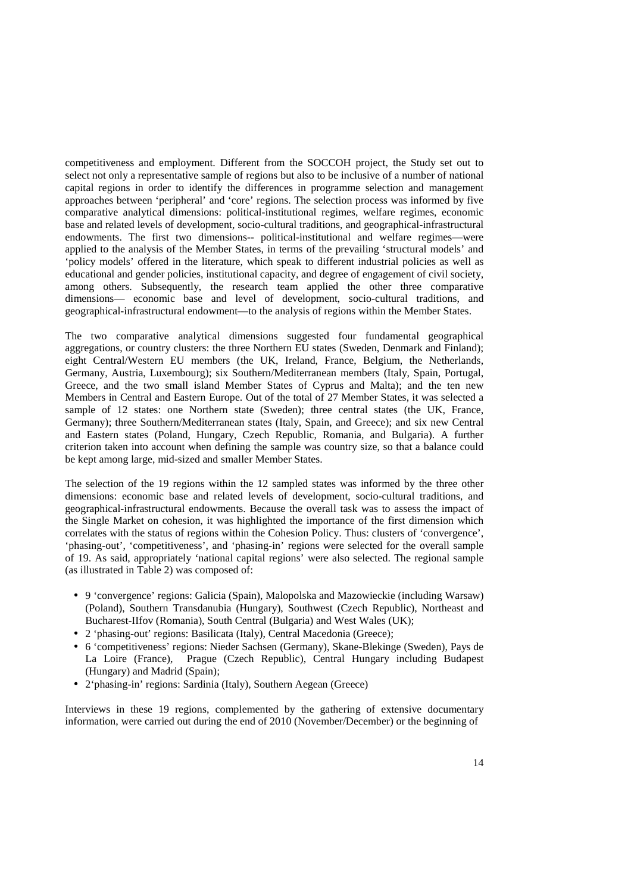competitiveness and employment. Different from the SOCCOH project, the Study set out to select not only a representative sample of regions but also to be inclusive of a number of national capital regions in order to identify the differences in programme selection and management approaches between 'peripheral' and 'core' regions. The selection process was informed by five comparative analytical dimensions: political-institutional regimes, welfare regimes, economic base and related levels of development, socio-cultural traditions, and geographical-infrastructural endowments. The first two dimensions-- political-institutional and welfare regimes—were applied to the analysis of the Member States, in terms of the prevailing 'structural models' and 'policy models' offered in the literature, which speak to different industrial policies as well as educational and gender policies, institutional capacity, and degree of engagement of civil society, among others. Subsequently, the research team applied the other three comparative dimensions— economic base and level of development, socio-cultural traditions, and geographical-infrastructural endowment—to the analysis of regions within the Member States.

The two comparative analytical dimensions suggested four fundamental geographical aggregations, or country clusters: the three Northern EU states (Sweden, Denmark and Finland); eight Central/Western EU members (the UK, Ireland, France, Belgium, the Netherlands, Germany, Austria, Luxembourg); six Southern/Mediterranean members (Italy, Spain, Portugal, Greece, and the two small island Member States of Cyprus and Malta); and the ten new Members in Central and Eastern Europe. Out of the total of 27 Member States, it was selected a sample of 12 states: one Northern state (Sweden); three central states (the UK, France, Germany); three Southern/Mediterranean states (Italy, Spain, and Greece); and six new Central and Eastern states (Poland, Hungary, Czech Republic, Romania, and Bulgaria). A further criterion taken into account when defining the sample was country size, so that a balance could be kept among large, mid-sized and smaller Member States.

The selection of the 19 regions within the 12 sampled states was informed by the three other dimensions: economic base and related levels of development, socio-cultural traditions, and geographical-infrastructural endowments. Because the overall task was to assess the impact of the Single Market on cohesion, it was highlighted the importance of the first dimension which correlates with the status of regions within the Cohesion Policy. Thus: clusters of 'convergence', 'phasing-out', 'competitiveness', and 'phasing-in' regions were selected for the overall sample of 19. As said, appropriately 'national capital regions' were also selected. The regional sample (as illustrated in Table 2) was composed of:

- 9 'convergence' regions: Galicia (Spain), Malopolska and Mazowieckie (including Warsaw) (Poland), Southern Transdanubia (Hungary), Southwest (Czech Republic), Northeast and Bucharest-IIfov (Romania), South Central (Bulgaria) and West Wales (UK);
- 2 'phasing-out' regions: Basilicata (Italy), Central Macedonia (Greece);
- 6 'competitiveness' regions: Nieder Sachsen (Germany), Skane-Blekinge (Sweden), Pays de La Loire (France), Prague (Czech Republic), Central Hungary including Budapest (Hungary) and Madrid (Spain);
- 2'phasing-in' regions: Sardinia (Italy), Southern Aegean (Greece)

Interviews in these 19 regions, complemented by the gathering of extensive documentary information, were carried out during the end of 2010 (November/December) or the beginning of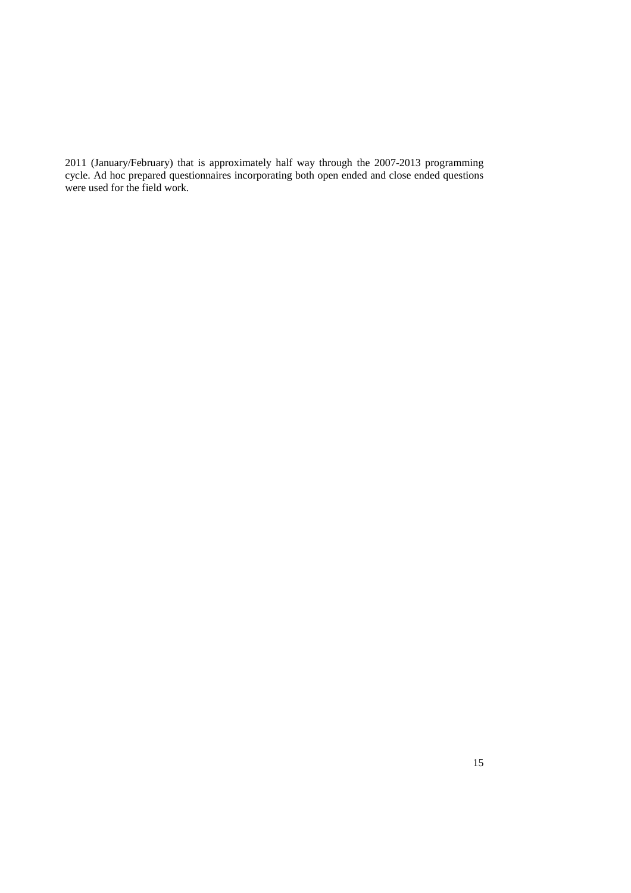2011 (January/February) that is approximately half way through the 2007-2013 programming cycle. Ad hoc prepared questionnaires incorporating both open ended and close ended questions were used for the field work.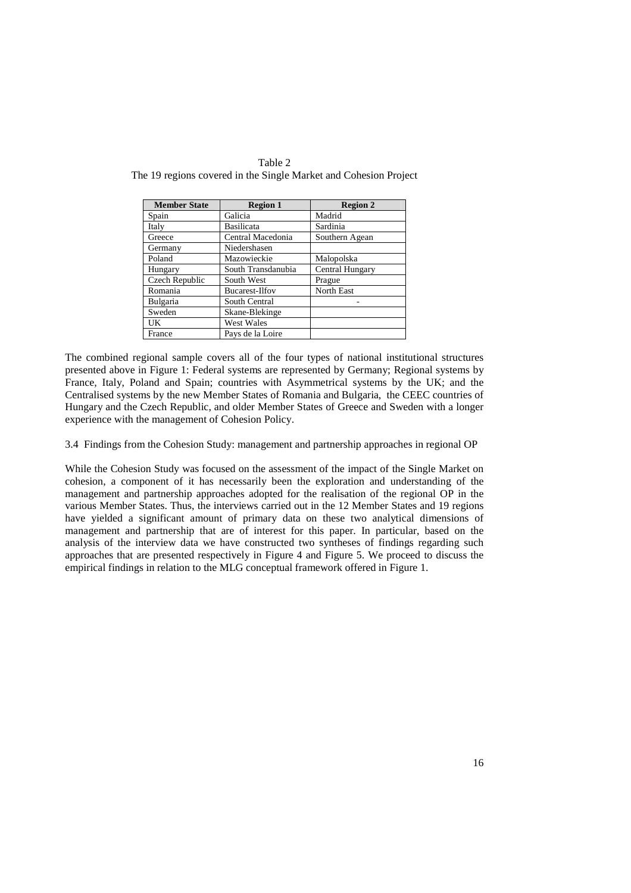| <b>Member State</b> | <b>Region 1</b>    | <b>Region 2</b>   |
|---------------------|--------------------|-------------------|
| Spain               | Galicia            | Madrid            |
| Italy               | Basilicata         | Sardinia          |
| Greece              | Central Macedonia  | Southern Agean    |
| Germany             | Niedershasen       |                   |
| Poland              | Mazowieckie        | Malopolska        |
| Hungary             | South Transdanubia | Central Hungary   |
| Czech Republic      | South West         | Prague            |
| Romania             | Bucarest-Ilfov     | <b>North East</b> |
| Bulgaria            | South Central      |                   |
| Sweden              | Skane-Blekinge     |                   |
| UK                  | <b>West Wales</b>  |                   |
| France              | Pays de la Loire   |                   |

Table 2 The 19 regions covered in the Single Market and Cohesion Project

The combined regional sample covers all of the four types of national institutional structures presented above in Figure 1: Federal systems are represented by Germany; Regional systems by France, Italy, Poland and Spain; countries with Asymmetrical systems by the UK; and the Centralised systems by the new Member States of Romania and Bulgaria, the CEEC countries of Hungary and the Czech Republic, and older Member States of Greece and Sweden with a longer experience with the management of Cohesion Policy.

3.4 Findings from the Cohesion Study: management and partnership approaches in regional OP

While the Cohesion Study was focused on the assessment of the impact of the Single Market on cohesion, a component of it has necessarily been the exploration and understanding of the management and partnership approaches adopted for the realisation of the regional OP in the various Member States. Thus, the interviews carried out in the 12 Member States and 19 regions have yielded a significant amount of primary data on these two analytical dimensions of management and partnership that are of interest for this paper. In particular, based on the analysis of the interview data we have constructed two syntheses of findings regarding such approaches that are presented respectively in Figure 4 and Figure 5. We proceed to discuss the empirical findings in relation to the MLG conceptual framework offered in Figure 1.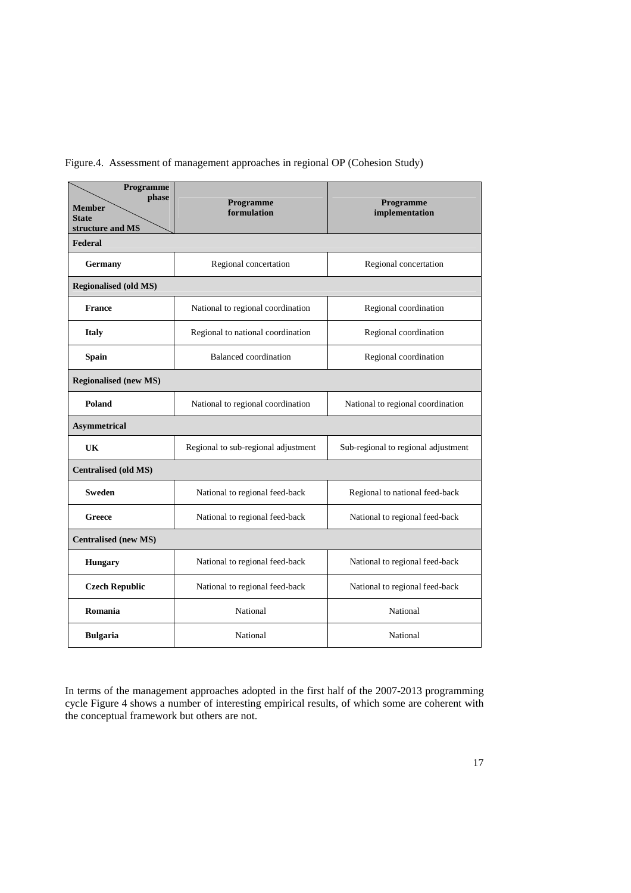| Programme<br>phase<br><b>Member</b><br><b>State</b><br>structure and MS | Programme<br>formulation            | <b>Programme</b><br>implementation  |  |  |  |
|-------------------------------------------------------------------------|-------------------------------------|-------------------------------------|--|--|--|
| Federal                                                                 |                                     |                                     |  |  |  |
| Germany                                                                 | Regional concertation               | Regional concertation               |  |  |  |
| <b>Regionalised (old MS)</b>                                            |                                     |                                     |  |  |  |
| <b>France</b>                                                           | National to regional coordination   | Regional coordination               |  |  |  |
| <b>Italy</b>                                                            | Regional to national coordination   | Regional coordination               |  |  |  |
| <b>Spain</b>                                                            | <b>Balanced</b> coordination        | Regional coordination               |  |  |  |
| <b>Regionalised (new MS)</b>                                            |                                     |                                     |  |  |  |
| Poland                                                                  | National to regional coordination   | National to regional coordination   |  |  |  |
| <b>Asymmetrical</b>                                                     |                                     |                                     |  |  |  |
| UK                                                                      | Regional to sub-regional adjustment | Sub-regional to regional adjustment |  |  |  |
| <b>Centralised (old MS)</b>                                             |                                     |                                     |  |  |  |
| <b>Sweden</b>                                                           | National to regional feed-back      | Regional to national feed-back      |  |  |  |
| Greece                                                                  | National to regional feed-back      | National to regional feed-back      |  |  |  |
| <b>Centralised</b> (new MS)                                             |                                     |                                     |  |  |  |
| <b>Hungary</b>                                                          | National to regional feed-back      | National to regional feed-back      |  |  |  |
| <b>Czech Republic</b>                                                   | National to regional feed-back      | National to regional feed-back      |  |  |  |
| Romania                                                                 | National                            | National                            |  |  |  |
| <b>Bulgaria</b>                                                         | National                            | National                            |  |  |  |

Figure.4. Assessment of management approaches in regional OP (Cohesion Study)

In terms of the management approaches adopted in the first half of the 2007-2013 programming cycle Figure 4 shows a number of interesting empirical results, of which some are coherent with the conceptual framework but others are not.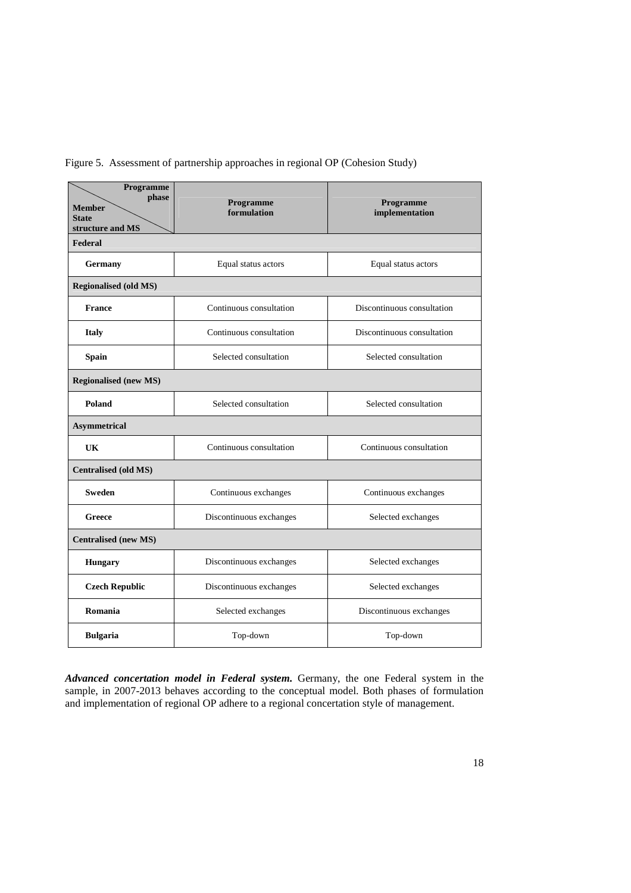| Programme<br>phase<br><b>Member</b><br><b>State</b><br>structure and MS | Programme<br>formulation | Programme<br>implementation |  |  |  |  |
|-------------------------------------------------------------------------|--------------------------|-----------------------------|--|--|--|--|
| Federal                                                                 |                          |                             |  |  |  |  |
| <b>Germany</b>                                                          | Equal status actors      | Equal status actors         |  |  |  |  |
| <b>Regionalised (old MS)</b>                                            |                          |                             |  |  |  |  |
| <b>France</b>                                                           | Continuous consultation  | Discontinuous consultation  |  |  |  |  |
| <b>Italy</b>                                                            | Continuous consultation  | Discontinuous consultation  |  |  |  |  |
| <b>Spain</b>                                                            | Selected consultation    | Selected consultation       |  |  |  |  |
| <b>Regionalised (new MS)</b>                                            |                          |                             |  |  |  |  |
| Poland                                                                  | Selected consultation    | Selected consultation       |  |  |  |  |
| <b>Asymmetrical</b>                                                     |                          |                             |  |  |  |  |
| Continuous consultation<br>UK                                           |                          | Continuous consultation     |  |  |  |  |
| <b>Centralised (old MS)</b>                                             |                          |                             |  |  |  |  |
| <b>Sweden</b>                                                           | Continuous exchanges     | Continuous exchanges        |  |  |  |  |
| Greece                                                                  | Discontinuous exchanges  | Selected exchanges          |  |  |  |  |
| <b>Centralised (new MS)</b>                                             |                          |                             |  |  |  |  |
| <b>Hungary</b>                                                          | Discontinuous exchanges  | Selected exchanges          |  |  |  |  |
| <b>Czech Republic</b>                                                   | Discontinuous exchanges  | Selected exchanges          |  |  |  |  |
| Romania                                                                 | Selected exchanges       | Discontinuous exchanges     |  |  |  |  |
| <b>Bulgaria</b>                                                         | Top-down                 | Top-down                    |  |  |  |  |

Figure 5. Assessment of partnership approaches in regional OP (Cohesion Study)

*Advanced concertation model in Federal system.* Germany, the one Federal system in the sample, in 2007-2013 behaves according to the conceptual model. Both phases of formulation and implementation of regional OP adhere to a regional concertation style of management.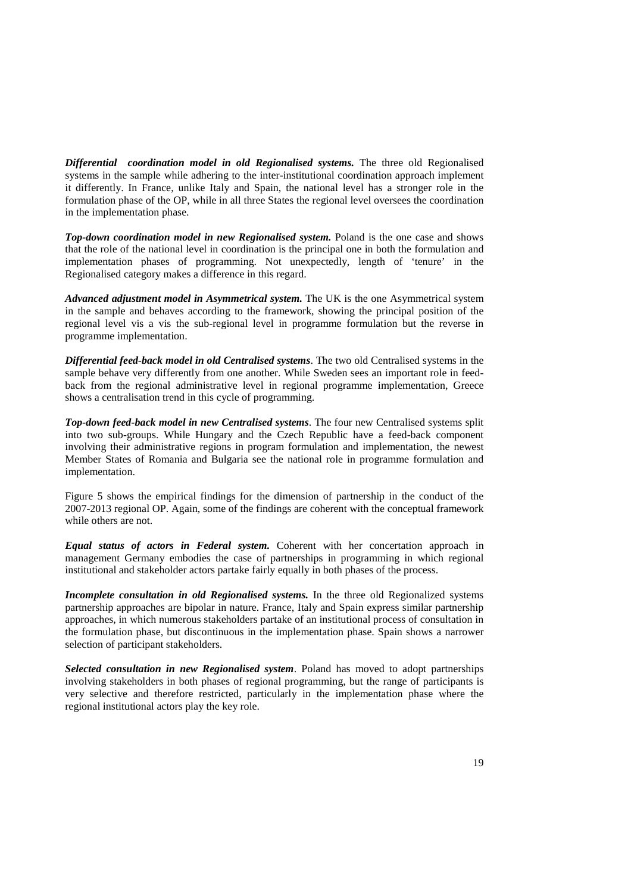*Differential coordination model in old Regionalised systems.* The three old Regionalised systems in the sample while adhering to the inter-institutional coordination approach implement it differently. In France, unlike Italy and Spain, the national level has a stronger role in the formulation phase of the OP, while in all three States the regional level oversees the coordination in the implementation phase.

**Top-down coordination model in new Regionalised system.** Poland is the one case and shows that the role of the national level in coordination is the principal one in both the formulation and implementation phases of programming. Not unexpectedly, length of 'tenure' in the Regionalised category makes a difference in this regard.

*Advanced adjustment model in Asymmetrical system.* The UK is the one Asymmetrical system in the sample and behaves according to the framework, showing the principal position of the regional level vis a vis the sub-regional level in programme formulation but the reverse in programme implementation.

*Differential feed-back model in old Centralised systems*. The two old Centralised systems in the sample behave very differently from one another. While Sweden sees an important role in feedback from the regional administrative level in regional programme implementation, Greece shows a centralisation trend in this cycle of programming.

*Top-down feed-back model in new Centralised systems*. The four new Centralised systems split into two sub-groups. While Hungary and the Czech Republic have a feed-back component involving their administrative regions in program formulation and implementation, the newest Member States of Romania and Bulgaria see the national role in programme formulation and implementation.

Figure 5 shows the empirical findings for the dimension of partnership in the conduct of the 2007-2013 regional OP. Again, some of the findings are coherent with the conceptual framework while others are not.

*Equal status of actors in Federal system.* Coherent with her concertation approach in management Germany embodies the case of partnerships in programming in which regional institutional and stakeholder actors partake fairly equally in both phases of the process.

*Incomplete consultation in old Regionalised systems.* In the three old Regionalized systems partnership approaches are bipolar in nature. France, Italy and Spain express similar partnership approaches, in which numerous stakeholders partake of an institutional process of consultation in the formulation phase, but discontinuous in the implementation phase. Spain shows a narrower selection of participant stakeholders.

*Selected consultation in new Regionalised system*. Poland has moved to adopt partnerships involving stakeholders in both phases of regional programming, but the range of participants is very selective and therefore restricted, particularly in the implementation phase where the regional institutional actors play the key role.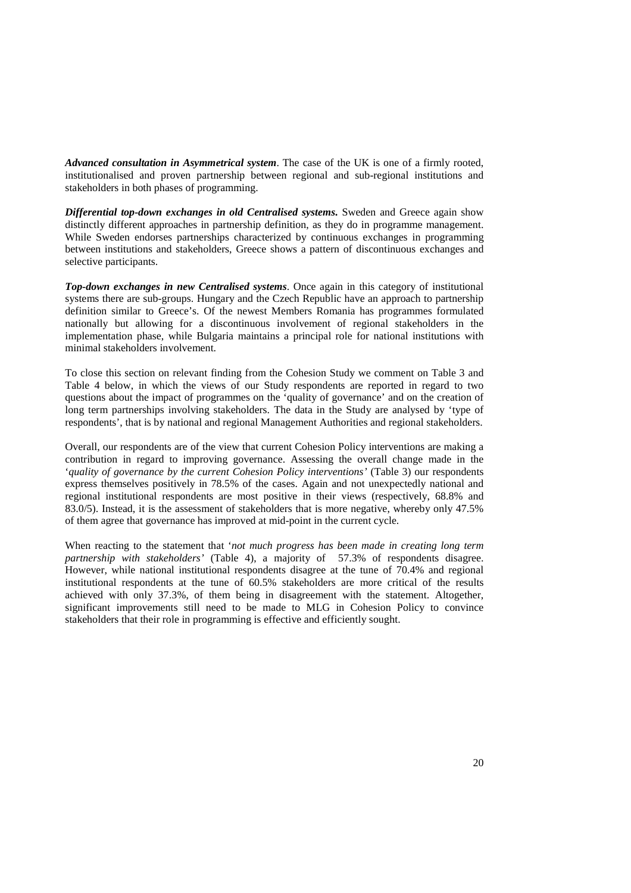*Advanced consultation in Asymmetrical system*. The case of the UK is one of a firmly rooted, institutionalised and proven partnership between regional and sub-regional institutions and stakeholders in both phases of programming.

*Differential top-down exchanges in old Centralised systems.* Sweden and Greece again show distinctly different approaches in partnership definition, as they do in programme management. While Sweden endorses partnerships characterized by continuous exchanges in programming between institutions and stakeholders, Greece shows a pattern of discontinuous exchanges and selective participants.

*Top-down exchanges in new Centralised systems*. Once again in this category of institutional systems there are sub-groups. Hungary and the Czech Republic have an approach to partnership definition similar to Greece's. Of the newest Members Romania has programmes formulated nationally but allowing for a discontinuous involvement of regional stakeholders in the implementation phase, while Bulgaria maintains a principal role for national institutions with minimal stakeholders involvement.

To close this section on relevant finding from the Cohesion Study we comment on Table 3 and Table 4 below, in which the views of our Study respondents are reported in regard to two questions about the impact of programmes on the 'quality of governance' and on the creation of long term partnerships involving stakeholders. The data in the Study are analysed by 'type of respondents', that is by national and regional Management Authorities and regional stakeholders.

Overall, our respondents are of the view that current Cohesion Policy interventions are making a contribution in regard to improving governance. Assessing the overall change made in the '*quality of governance by the current Cohesion Policy interventions'* (Table 3) our respondents express themselves positively in 78.5% of the cases. Again and not unexpectedly national and regional institutional respondents are most positive in their views (respectively, 68.8% and 83.0/5). Instead, it is the assessment of stakeholders that is more negative, whereby only 47.5% of them agree that governance has improved at mid-point in the current cycle.

When reacting to the statement that '*not much progress has been made in creating long term partnership with stakeholders'* (Table 4), a majority of 57.3% of respondents disagree. However, while national institutional respondents disagree at the tune of 70.4% and regional institutional respondents at the tune of 60.5% stakeholders are more critical of the results achieved with only 37.3%, of them being in disagreement with the statement. Altogether, significant improvements still need to be made to MLG in Cohesion Policy to convince stakeholders that their role in programming is effective and efficiently sought.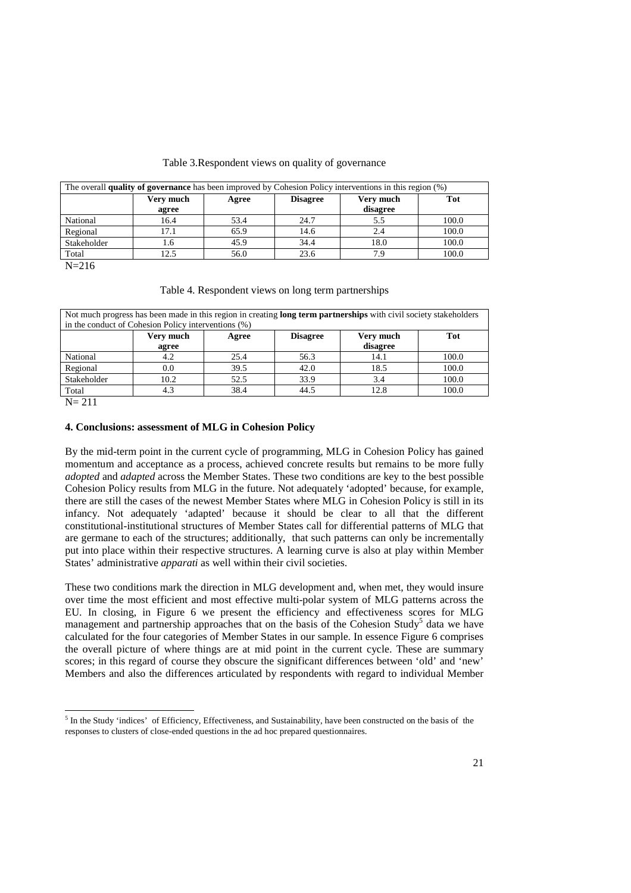#### Table 3.Respondent views on quality of governance

| The overall quality of governance has been improved by Cohesion Policy interventions in this region $(\%)$ |                                                           |      |      |          |       |  |
|------------------------------------------------------------------------------------------------------------|-----------------------------------------------------------|------|------|----------|-------|--|
|                                                                                                            | Tot<br>Very much<br>Very much<br><b>Disagree</b><br>Agree |      |      |          |       |  |
|                                                                                                            | agree                                                     |      |      | disagree |       |  |
| National                                                                                                   | 16.4                                                      | 53.4 | 24.7 | 5.5      | 100.0 |  |
| Regional                                                                                                   | 17.1                                                      | 65.9 | 14.6 | 2.4      | 100.0 |  |
| Stakeholder                                                                                                | 1.6                                                       | 45.9 | 34.4 | 18.0     | 100.0 |  |
| Total                                                                                                      | 12.5                                                      | 56.0 | 23.6 | 7 Q      | 100.0 |  |

 $N = 216$ 

| Table 4. Respondent views on long term partnerships |  |  |
|-----------------------------------------------------|--|--|
|                                                     |  |  |

| Not much progress has been made in this region in creating <b>long term partnerships</b> with civil society stakeholders<br>in the conduct of Cohesion Policy interventions (%) |       |      |      |          |       |  |
|---------------------------------------------------------------------------------------------------------------------------------------------------------------------------------|-------|------|------|----------|-------|--|
|                                                                                                                                                                                 |       |      |      |          |       |  |
| Very much<br><b>Disagree</b><br>Very much<br>Tot<br>Agree                                                                                                                       |       |      |      |          |       |  |
|                                                                                                                                                                                 | agree |      |      | disagree |       |  |
| National                                                                                                                                                                        | 4.2   | 25.4 | 56.3 | 14.1     | 100.0 |  |
| Regional                                                                                                                                                                        | 0.0   | 39.5 | 42.0 | 18.5     | 100.0 |  |
| Stakeholder                                                                                                                                                                     | 10.2  | 52.5 | 33.9 | 3.4      | 100.0 |  |
| Total                                                                                                                                                                           | 4.3   | 38.4 | 44.5 | 12.8     | 100.0 |  |
| $\mathbf{M}$ $\mathbf{A}$ 1.1                                                                                                                                                   |       |      |      |          |       |  |

 $N = 211$ 

#### **4. Conclusions: assessment of MLG in Cohesion Policy**

By the mid-term point in the current cycle of programming, MLG in Cohesion Policy has gained momentum and acceptance as a process, achieved concrete results but remains to be more fully *adopted* and *adapted* across the Member States. These two conditions are key to the best possible Cohesion Policy results from MLG in the future. Not adequately 'adopted' because, for example, there are still the cases of the newest Member States where MLG in Cohesion Policy is still in its infancy. Not adequately 'adapted' because it should be clear to all that the different constitutional-institutional structures of Member States call for differential patterns of MLG that are germane to each of the structures; additionally, that such patterns can only be incrementally put into place within their respective structures. A learning curve is also at play within Member States' administrative *apparati* as well within their civil societies.

These two conditions mark the direction in MLG development and, when met, they would insure over time the most efficient and most effective multi-polar system of MLG patterns across the EU. In closing, in Figure 6 we present the efficiency and effectiveness scores for MLG management and partnership approaches that on the basis of the Cohesion Study<sup>5</sup> data we have calculated for the four categories of Member States in our sample. In essence Figure 6 comprises the overall picture of where things are at mid point in the current cycle. These are summary scores; in this regard of course they obscure the significant differences between 'old' and 'new' Members and also the differences articulated by respondents with regard to individual Member

The Study 'indices' of Efficiency, Effectiveness, and Sustainability, have been constructed on the basis of the responses to clusters of close-ended questions in the ad hoc prepared questionnaires.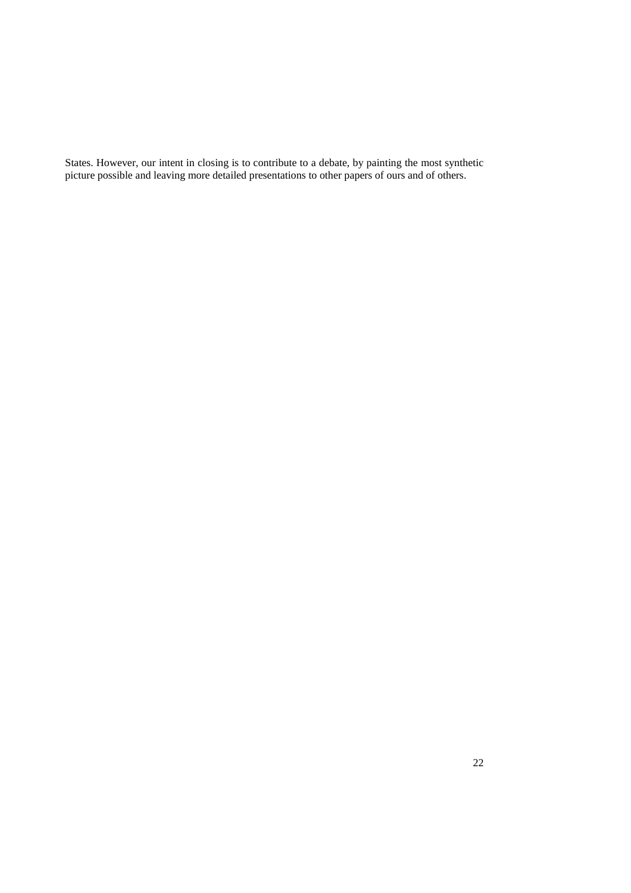States. However, our intent in closing is to contribute to a debate, by painting the most synthetic picture possible and leaving more detailed presentations to other papers of ours and of others.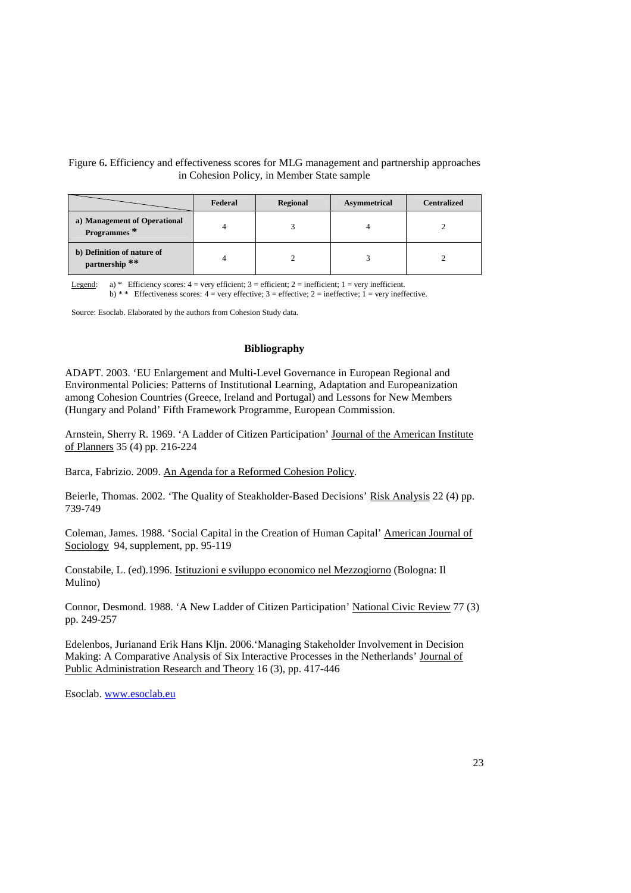# Figure 6**.** Efficiency and effectiveness scores for MLG management and partnership approaches in Cohesion Policy, in Member State sample

|                                              | Federal | Regional | <b>Asymmetrical</b> | <b>Centralized</b> |
|----------------------------------------------|---------|----------|---------------------|--------------------|
| a) Management of Operational<br>Programmes*  |         |          |                     |                    |
| b) Definition of nature of<br>partnership ** |         |          |                     |                    |

Legend: a) \* Efficiency scores:  $4 = \text{very efficient}$ ;  $3 = \text{efficient}$ ;  $2 = \text{inefficient}$ ;  $1 = \text{very inefficient}$ . b) \* \* Effectiveness scores:  $4 = \text{very effective}$ ;  $3 = \text{effective}$ ;  $2 = \text{ineffective}$ ;  $1 = \text{very ineffective}$ .

Source: Esoclab. Elaborated by the authors from Cohesion Study data.

## **Bibliography**

ADAPT. 2003. 'EU Enlargement and Multi-Level Governance in European Regional and Environmental Policies: Patterns of Institutional Learning, Adaptation and Europeanization among Cohesion Countries (Greece, Ireland and Portugal) and Lessons for New Members (Hungary and Poland' Fifth Framework Programme, European Commission.

Arnstein, Sherry R. 1969. 'A Ladder of Citizen Participation' Journal of the American Institute of Planners 35 (4) pp. 216-224

Barca, Fabrizio. 2009. An Agenda for a Reformed Cohesion Policy.

Beierle, Thomas. 2002. 'The Quality of Steakholder-Based Decisions' Risk Analysis 22 (4) pp. 739-749

Coleman, James. 1988. 'Social Capital in the Creation of Human Capital' American Journal of Sociology 94, supplement, pp. 95-119

Constabile, L. (ed).1996. Istituzioni e sviluppo economico nel Mezzogiorno (Bologna: Il Mulino)

Connor, Desmond. 1988. 'A New Ladder of Citizen Participation' National Civic Review 77 (3) pp. 249-257

Edelenbos, Jurianand Erik Hans Kljn. 2006.'Managing Stakeholder Involvement in Decision Making: A Comparative Analysis of Six Interactive Processes in the Netherlands' Journal of Public Administration Research and Theory 16 (3), pp. 417-446

Esoclab. www.esoclab.eu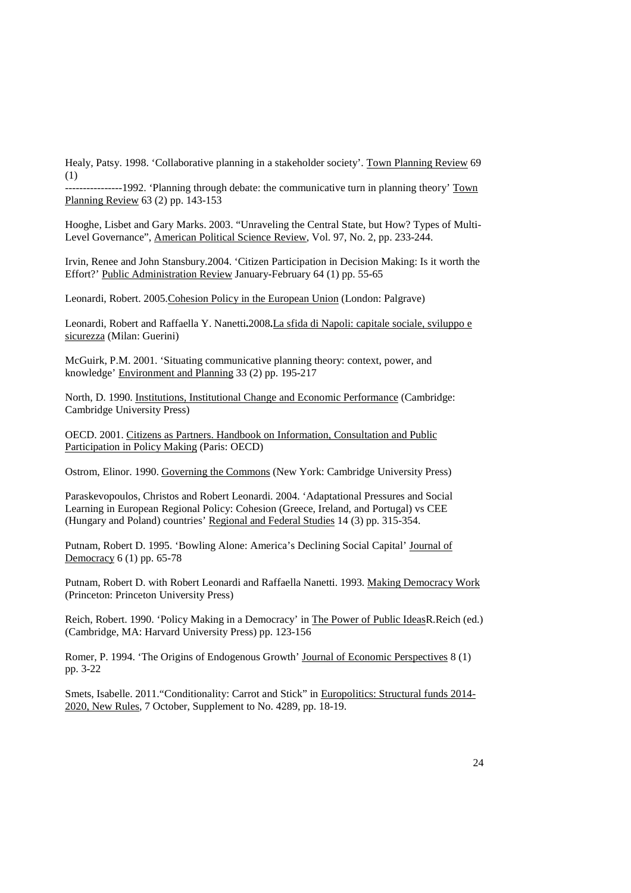Healy, Patsy. 1998. 'Collaborative planning in a stakeholder society'. Town Planning Review 69 (1)

----------1992. 'Planning through debate: the communicative turn in planning theory' Town Planning Review 63 (2) pp. 143-153

Hooghe, Lisbet and Gary Marks. 2003. "Unraveling the Central State, but How? Types of Multi-Level Governance", American Political Science Review, Vol. 97, No. 2, pp. 233-244.

Irvin, Renee and John Stansbury.2004. 'Citizen Participation in Decision Making: Is it worth the Effort?' Public Administration Review January-February 64 (1) pp. 55-65

Leonardi, Robert. 2005.Cohesion Policy in the European Union (London: Palgrave)

Leonardi, Robert and Raffaella Y. Nanetti**.**2008**.**La sfida di Napoli: capitale sociale, sviluppo e sicurezza (Milan: Guerini)

McGuirk, P.M. 2001. 'Situating communicative planning theory: context, power, and knowledge' Environment and Planning 33 (2) pp. 195-217

North, D. 1990. Institutions, Institutional Change and Economic Performance (Cambridge: Cambridge University Press)

OECD. 2001. Citizens as Partners. Handbook on Information, Consultation and Public Participation in Policy Making (Paris: OECD)

Ostrom, Elinor. 1990. Governing the Commons (New York: Cambridge University Press)

Paraskevopoulos, Christos and Robert Leonardi. 2004. 'Adaptational Pressures and Social Learning in European Regional Policy: Cohesion (Greece, Ireland, and Portugal) vs CEE (Hungary and Poland) countries' Regional and Federal Studies 14 (3) pp. 315-354.

Putnam, Robert D. 1995. 'Bowling Alone: America's Declining Social Capital' Journal of Democracy 6 (1) pp. 65-78

Putnam, Robert D. with Robert Leonardi and Raffaella Nanetti. 1993. Making Democracy Work (Princeton: Princeton University Press)

Reich, Robert. 1990. 'Policy Making in a Democracy' in The Power of Public IdeasR.Reich (ed.) (Cambridge, MA: Harvard University Press) pp. 123-156

Romer, P. 1994. 'The Origins of Endogenous Growth' Journal of Economic Perspectives 8 (1) pp. 3-22

Smets, Isabelle. 2011."Conditionality: Carrot and Stick" in Europolitics: Structural funds 2014- 2020, New Rules, 7 October, Supplement to No. 4289, pp. 18-19.